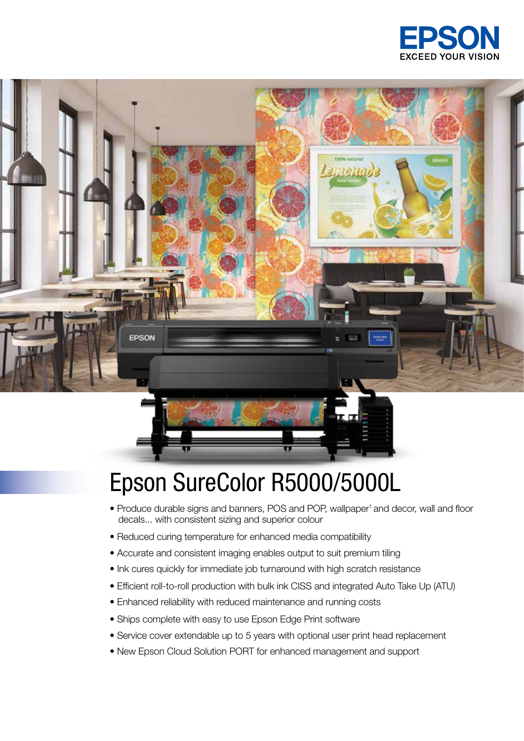



## Epson SureColor R5000/5000L

- Produce durable signs and banners, POS and POP, wallpaper<sup>1</sup> and decor, wall and floor decals... with consistent sizing and superior colour
- Reduced curing temperature for enhanced media compatibility
- Accurate and consistent imaging enables output to suit premium tiling
- Ink cures quickly for immediate job turnaround with high scratch resistance
- Efficient roll-to-roll production with bulk ink CISS and integrated Auto Take Up (ATU)
- Enhanced reliability with reduced maintenance and running costs
- Ships complete with easy to use Epson Edge Print software
- Service cover extendable up to 5 years with optional user print head replacement
- New Epson Cloud Solution PORT for enhanced management and support